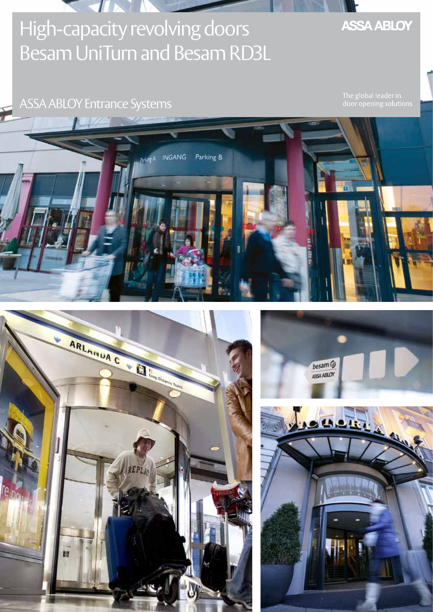# High-capacity revolving doors Besam UniTurn and Besam RD3L

**INGANG** 

 $\sqrt{I}$ 

### ASSA ABLOY Entrance Systems

The global leader in<br>door opening solutions



Parking B







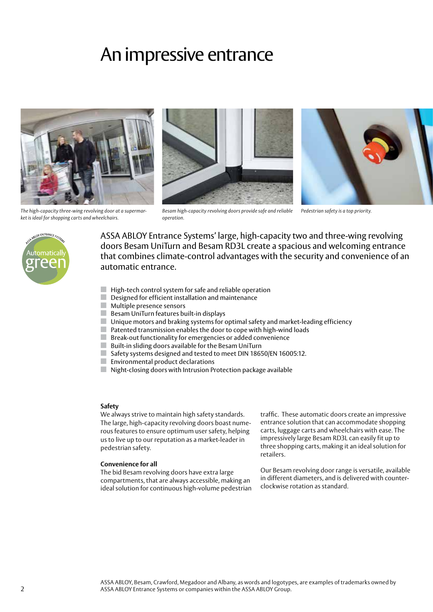## An impressive entrance



*The high-capacity three-wing revolving door at a supermarket is ideal for shopping carts and wheelchairs.*





*Besam high-capacity revolving doors provide safe and reliable Pedestrian safety is a top priority.*



ASSA ABLOY Entrance Systems' large, high-capacity two and three-wing revolving doors Besam UniTurn and Besam RD3L create a spacious and welcoming entrance that combines climate-control advantages with the security and convenience of an automatic entrance.

- $\blacksquare$  High-tech control system for safe and reliable operation
- Designed for efficient installation and maintenance

*operation.*

- Multiple presence sensors
- Besam UniTurn features built-in displays
- Unique motors and braking systems for optimal safety and market-leading efficiency
- Patented transmission enables the door to cope with high-wind loads
- Break-out functionality for emergencies or added convenience
- Built-in sliding doors available for the Besam UniTurn
- Safety systems designed and tested to meet DIN 18650/EN 16005:12.
- Environmental product declarations
- Night-closing doors with Intrusion Protection package available

#### **Safety**

We always strive to maintain high safety standards. The large, high-capacity revolving doors boast numerous features to ensure optimum user safety, helping us to live up to our reputation as a market-leader in pedestrian safety.

#### **Convenience for all**

The bid Besam revolving doors have extra large compartments, that are always accessible, making an ideal solution for continuous high-volume pedestrian

traffic. These automatic doors create an impressive entrance solution that can accommodate shopping carts, luggage carts and wheelchairs with ease. The impressively large Besam RD3L can easily fit up to three shopping carts, making it an ideal solution for retailers.

Our Besam revolving door range is versatile, available in different diameters, and is delivered with counterclockwise rotation as standard.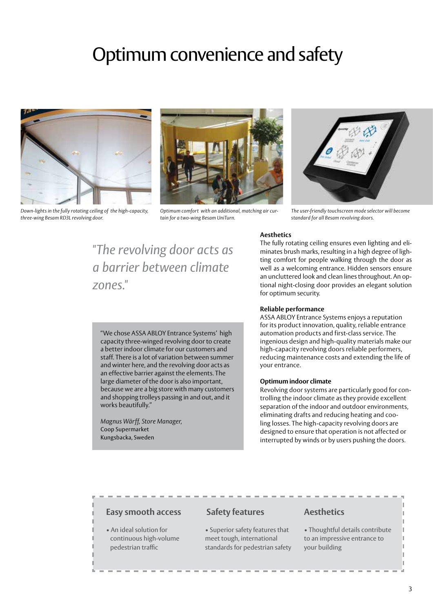# Optimum convenience and safety



*Down-lights in the fully rotating ceiling of the high-capacity, three-wing Besam RD3L revolving door.*



*Optimum comfort with an additional, matching air curtain for a two-wing Besam UniTurn.*



*The user-friendly touchscreen mode selector will become standard for all Besam revolving doors.*

#### **Aesthetics** The fully rotating ceiling ensures even lighting and eli-

*"The revolving door acts as a barrier between climate zones."*

minates brush marks, resulting in a high degree of lighting comfort for people walking through the door as well as a welcoming entrance. Hidden sensors ensure an uncluttered look and clean lines throughout. An optional night-closing door provides an elegant solution

#### "We chose ASSA ABLOY Entrance Systems' high capacity three-winged revolving door to create a better indoor climate for our customers and staff. There is a lot of variation between summer and winter here, and the revolving door acts as an effective barrier against the elements. The large diameter of the door is also important, because we are a big store with many customers and shopping trolleys passing in and out, and it works beautifully."

*Magnus Wärff, Store Manager,*  Coop Supermarket Kungsbacka, Sweden

### for optimum security.

**Reliable performance**

ASSA ABLOY Entrance Systems enjoys a reputation for its product innovation, quality, reliable entrance automation products and first-class service. The ingenious design and high-quality materials make our high-capacity revolving doors reliable performers, reducing maintenance costs and extending the life of your entrance.

#### **Optimum indoor climate**

Revolving door systems are particularly good for controlling the indoor climate as they provide excellent separation of the indoor and outdoor environments, eliminating drafts and reducing heating and cooling losses. The high-capacity revolving doors are designed to ensure that operation is not affected or interrupted by winds or by users pushing the doors.

#### **Easy smooth access**

• An ideal solution for continuous high-volume pedestrian traffic

#### **Safety features**

• Superior safety features that meet tough, international standards for pedestrian safety

#### **Aesthetics**

• Thoughtful details contribute to an impressive entrance to your building

3